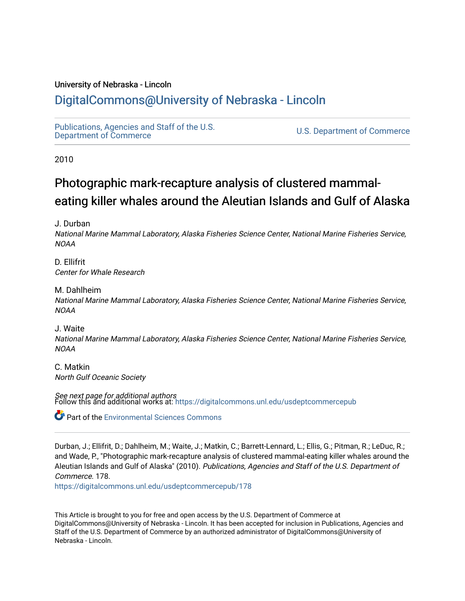# University of Nebraska - Lincoln

# [DigitalCommons@University of Nebraska - Lincoln](https://digitalcommons.unl.edu/)

[Publications, Agencies and Staff of the U.S.](https://digitalcommons.unl.edu/usdeptcommercepub)

U.S. [Department of Commerce](https://digitalcommons.unl.edu/usdeptcommercepub)

2010

# Photographic mark-recapture analysis of clustered mammaleating killer whales around the Aleutian Islands and Gulf of Alaska

J. Durban

National Marine Mammal Laboratory, Alaska Fisheries Science Center, National Marine Fisheries Service, NOAA

D. Ellifrit Center for Whale Research

M. Dahlheim

National Marine Mammal Laboratory, Alaska Fisheries Science Center, National Marine Fisheries Service, NOAA

J. Waite

National Marine Mammal Laboratory, Alaska Fisheries Science Center, National Marine Fisheries Service, NOAA

C. Matkin North Gulf Oceanic Society

*See next page for additional authors*<br>Follow this and additional works at: [https://digitalcommons.unl.edu/usdeptcommercepub](https://digitalcommons.unl.edu/usdeptcommercepub?utm_source=digitalcommons.unl.edu%2Fusdeptcommercepub%2F178&utm_medium=PDF&utm_campaign=PDFCoverPages)

**C** Part of the [Environmental Sciences Commons](http://network.bepress.com/hgg/discipline/167?utm_source=digitalcommons.unl.edu%2Fusdeptcommercepub%2F178&utm_medium=PDF&utm_campaign=PDFCoverPages)

Durban, J.; Ellifrit, D.; Dahlheim, M.; Waite, J.; Matkin, C.; Barrett-Lennard, L.; Ellis, G.; Pitman, R.; LeDuc, R.; and Wade, P., "Photographic mark-recapture analysis of clustered mammal-eating killer whales around the Aleutian Islands and Gulf of Alaska" (2010). Publications, Agencies and Staff of the U.S. Department of Commerce. 178.

[https://digitalcommons.unl.edu/usdeptcommercepub/178](https://digitalcommons.unl.edu/usdeptcommercepub/178?utm_source=digitalcommons.unl.edu%2Fusdeptcommercepub%2F178&utm_medium=PDF&utm_campaign=PDFCoverPages) 

This Article is brought to you for free and open access by the U.S. Department of Commerce at DigitalCommons@University of Nebraska - Lincoln. It has been accepted for inclusion in Publications, Agencies and Staff of the U.S. Department of Commerce by an authorized administrator of DigitalCommons@University of Nebraska - Lincoln.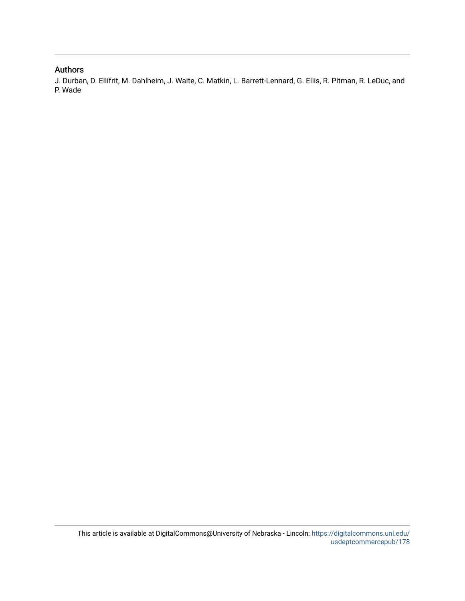# Authors

J. Durban, D. Ellifrit, M. Dahlheim, J. Waite, C. Matkin, L. Barrett-Lennard, G. Ellis, R. Pitman, R. LeDuc, and P. Wade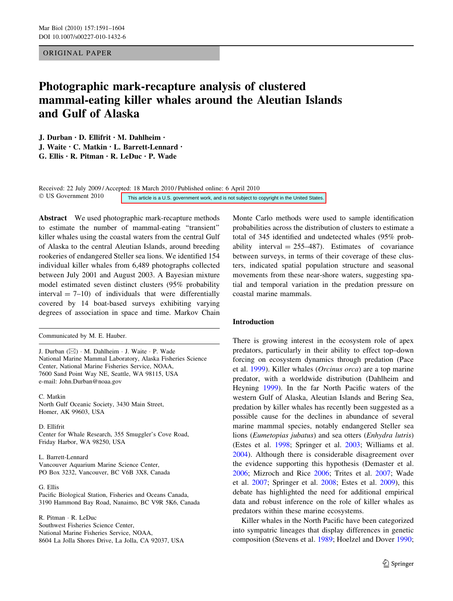## ORIGINAL PAPER

# Photographic mark-recapture analysis of clustered mammal-eating killer whales around the Aleutian Islands and Gulf of Alaska

J. Durban • D. Ellifrit • M. Dahlheim • J. Waite • C. Matkin • L. Barrett-Lennard • G. Ellis • R. Pitman • R. LeDuc • P. Wade

Received: 22 July 2009 / Accepted: 18 March 2010 / Published online: 6 April 2010 © US Government 2010 This article is a U.S. government work, and is not subject to copyright in the United States.

Abstract We used photographic mark-recapture methods to estimate the number of mammal-eating ''transient'' killer whales using the coastal waters from the central Gulf of Alaska to the central Aleutian Islands, around breeding rookeries of endangered Steller sea lions. We identified 154 individual killer whales from 6,489 photographs collected between July 2001 and August 2003. A Bayesian mixture model estimated seven distinct clusters (95% probability interval  $= 7-10$ ) of individuals that were differentially covered by 14 boat-based surveys exhibiting varying degrees of association in space and time. Markov Chain

Communicated by M. E. Hauber.

J. Durban  $(\boxtimes) \cdot M$ . Dahlheim  $\cdot$  J. Waite  $\cdot$  P. Wade National Marine Mammal Laboratory, Alaska Fisheries Science Center, National Marine Fisheries Service, NOAA, 7600 Sand Point Way NE, Seattle, WA 98115, USA e-mail: John.Durban@noaa.gov

C. Matkin North Gulf Oceanic Society, 3430 Main Street, Homer, AK 99603, USA

D. Ellifrit Center for Whale Research, 355 Smuggler's Cove Road, Friday Harbor, WA 98250, USA

L. Barrett-Lennard Vancouver Aquarium Marine Science Center, PO Box 3232, Vancouver, BC V6B 3X8, Canada

#### G. Ellis

Pacific Biological Station, Fisheries and Oceans Canada, 3190 Hammond Bay Road, Nanaimo, BC V9R 5K6, Canada

R. Pitman - R. LeDuc Southwest Fisheries Science Center, National Marine Fisheries Service, NOAA, 8604 La Jolla Shores Drive, La Jolla, CA 92037, USA Monte Carlo methods were used to sample identification probabilities across the distribution of clusters to estimate a total of 345 identified and undetected whales (95% probability interval  $= 255-487$ ). Estimates of covariance between surveys, in terms of their coverage of these clusters, indicated spatial population structure and seasonal movements from these near-shore waters, suggesting spatial and temporal variation in the predation pressure on coastal marine mammals.

#### Introduction

There is growing interest in the ecosystem role of apex predators, particularly in their ability to effect top–down forcing on ecosystem dynamics through predation (Pace et al. [1999](#page-15-0)). Killer whales (Orcinus orca) are a top marine predator, with a worldwide distribution (Dahlheim and Heyning [1999\)](#page-14-0). In the far North Pacific waters of the western Gulf of Alaska, Aleutian Islands and Bering Sea, predation by killer whales has recently been suggested as a possible cause for the declines in abundance of several marine mammal species, notably endangered Steller sea lions (Eumetopias jubatus) and sea otters (Enhydra lutris) (Estes et al. [1998](#page-14-0); Springer et al. [2003;](#page-15-0) Williams et al. [2004](#page-15-0)). Although there is considerable disagreement over the evidence supporting this hypothesis (Demaster et al. [2006](#page-14-0); Mizroch and Rice [2006](#page-15-0); Trites et al. [2007;](#page-15-0) Wade et al. [2007](#page-15-0); Springer et al. [2008](#page-15-0); Estes et al. [2009\)](#page-14-0), this debate has highlighted the need for additional empirical data and robust inference on the role of killer whales as predators within these marine ecosystems.

Killer whales in the North Pacific have been categorized into sympatric lineages that display differences in genetic composition (Stevens et al. [1989;](#page-15-0) Hoelzel and Dover [1990](#page-14-0);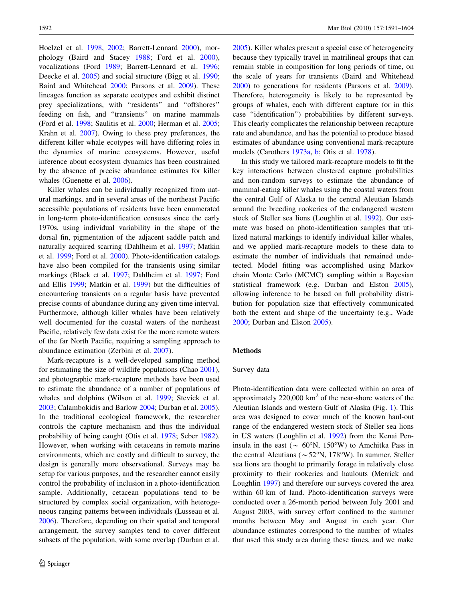Hoelzel et al. [1998](#page-14-0), [2002;](#page-14-0) Barrett-Lennard [2000\)](#page-13-0), morphology (Baird and Stacey [1988;](#page-13-0) Ford et al. [2000](#page-14-0)), vocalizations (Ford [1989](#page-14-0); Barrett-Lennard et al. [1996](#page-13-0); Deecke et al. [2005\)](#page-14-0) and social structure (Bigg et al. [1990](#page-13-0); Baird and Whitehead [2000](#page-13-0); Parsons et al. [2009\)](#page-15-0). These lineages function as separate ecotypes and exhibit distinct prey specializations, with ''residents'' and ''offshores'' feeding on fish, and ''transients'' on marine mammals (Ford et al. [1998;](#page-14-0) Saulitis et al. [2000;](#page-15-0) Herman et al. [2005](#page-14-0); Krahn et al. [2007](#page-14-0)). Owing to these prey preferences, the different killer whale ecotypes will have differing roles in the dynamics of marine ecosystems. However, useful inference about ecosystem dynamics has been constrained by the absence of precise abundance estimates for killer whales (Guenette et al. [2006\)](#page-14-0).

Killer whales can be individually recognized from natural markings, and in several areas of the northeast Pacific accessible populations of residents have been enumerated in long-term photo-identification censuses since the early 1970s, using individual variability in the shape of the dorsal fin, pigmentation of the adjacent saddle patch and naturally acquired scarring (Dahlheim et al. [1997;](#page-14-0) Matkin et al. [1999](#page-14-0); Ford et al. [2000\)](#page-14-0). Photo-identification catalogs have also been compiled for the transients using similar markings (Black et al. [1997](#page-14-0); Dahlheim et al. [1997;](#page-14-0) Ford and Ellis [1999](#page-14-0); Matkin et al. [1999\)](#page-14-0) but the difficulties of encountering transients on a regular basis have prevented precise counts of abundance during any given time interval. Furthermore, although killer whales have been relatively well documented for the coastal waters of the northeast Pacific, relatively few data exist for the more remote waters of the far North Pacific, requiring a sampling approach to abundance estimation (Zerbini et al. [2007](#page-15-0)).

Mark-recapture is a well-developed sampling method for estimating the size of wildlife populations (Chao [2001](#page-14-0)), and photographic mark-recapture methods have been used to estimate the abundance of a number of populations of whales and dolphins (Wilson et al. [1999](#page-15-0); Stevick et al. [2003;](#page-15-0) Calambokidis and Barlow [2004](#page-14-0); Durban et al. [2005](#page-14-0)). In the traditional ecological framework, the researcher controls the capture mechanism and thus the individual probability of being caught (Otis et al. [1978](#page-15-0); Seber [1982](#page-15-0)). However, when working with cetaceans in remote marine environments, which are costly and difficult to survey, the design is generally more observational. Surveys may be setup for various purposes, and the researcher cannot easily control the probability of inclusion in a photo-identification sample. Additionally, cetacean populations tend to be structured by complex social organization, with heterogeneous ranging patterns between individuals (Lusseau et al. [2006\)](#page-14-0). Therefore, depending on their spatial and temporal arrangement, the survey samples tend to cover different subsets of the population, with some overlap (Durban et al. [2005](#page-14-0)). Killer whales present a special case of heterogeneity because they typically travel in matrilineal groups that can remain stable in composition for long periods of time, on the scale of years for transients (Baird and Whitehead [2000](#page-13-0)) to generations for residents (Parsons et al. [2009](#page-15-0)). Therefore, heterogeneity is likely to be represented by groups of whales, each with different capture (or in this case ''identification'') probabilities by different surveys. This clearly complicates the relationship between recapture rate and abundance, and has the potential to produce biased estimates of abundance using conventional mark-recapture models (Carothers [1973a](#page-14-0), [b](#page-14-0); Otis et al. [1978\)](#page-15-0).

In this study we tailored mark-recapture models to fit the key interactions between clustered capture probabilities and non-random surveys to estimate the abundance of mammal-eating killer whales using the coastal waters from the central Gulf of Alaska to the central Aleutian Islands around the breeding rookeries of the endangered western stock of Steller sea lions (Loughlin et al. [1992\)](#page-14-0). Our estimate was based on photo-identification samples that utilized natural markings to identify individual killer whales, and we applied mark-recapture models to these data to estimate the number of individuals that remained undetected. Model fitting was accomplished using Markov chain Monte Carlo (MCMC) sampling within a Bayesian statistical framework (e.g. Durban and Elston [2005](#page-14-0)), allowing inference to be based on full probability distribution for population size that effectively communicated both the extent and shape of the uncertainty (e.g., Wade [2000](#page-15-0); Durban and Elston [2005](#page-14-0)).

#### Methods

#### Survey data

Photo-identification data were collected within an area of approximately 220,000 km<sup>2</sup> of the near-shore waters of the Aleutian Islands and western Gulf of Alaska (Fig. [1\)](#page-4-0). This area was designed to cover much of the known haul-out range of the endangered western stock of Steller sea lions in US waters (Loughlin et al. [1992](#page-14-0)) from the Kenai Peninsula in the east ( $\sim 60^{\circ}$ N, 150°W) to Amchitka Pass in the central Aleutians ( $\sim$  52°N, 178°W). In summer, Steller sea lions are thought to primarily forage in relatively close proximity to their rookeries and haulouts (Merrick and Loughlin [1997\)](#page-14-0) and therefore our surveys covered the area within 60 km of land. Photo-identification surveys were conducted over a 26-month period between July 2001 and August 2003, with survey effort confined to the summer months between May and August in each year. Our abundance estimates correspond to the number of whales that used this study area during these times, and we make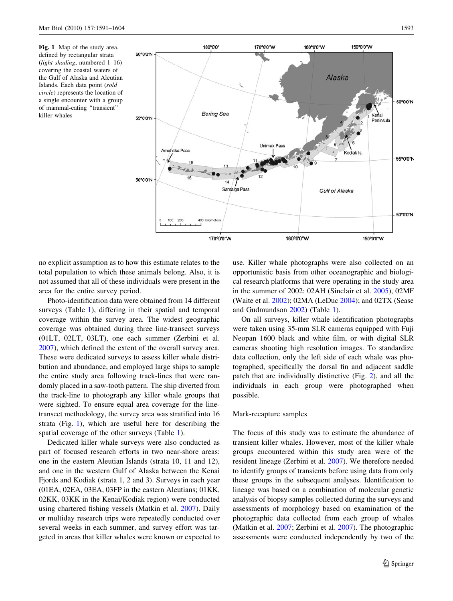<span id="page-4-0"></span>Fig. 1 Map of the study area, defined by rectangular strata (light shading, numbered 1–16) covering the coastal waters of the Gulf of Alaska and Aleutian Islands. Each data point (sold circle) represents the location of a single encounter with a group of mammal-eating ''transient'' killer whales



no explicit assumption as to how this estimate relates to the total population to which these animals belong. Also, it is not assumed that all of these individuals were present in the area for the entire survey period.

Photo-identification data were obtained from 14 different surveys (Table [1](#page-5-0)), differing in their spatial and temporal coverage within the survey area. The widest geographic coverage was obtained during three line-transect surveys (01LT, 02LT, 03LT), one each summer (Zerbini et al. [2007\)](#page-15-0), which defined the extent of the overall survey area. These were dedicated surveys to assess killer whale distribution and abundance, and employed large ships to sample the entire study area following track-lines that were randomly placed in a saw-tooth pattern. The ship diverted from the track-line to photograph any killer whale groups that were sighted. To ensure equal area coverage for the linetransect methodology, the survey area was stratified into 16 strata (Fig. 1), which are useful here for describing the spatial coverage of the other surveys (Table [1](#page-5-0)).

Dedicated killer whale surveys were also conducted as part of focused research efforts in two near-shore areas: one in the eastern Aleutian Islands (strata 10, 11 and 12), and one in the western Gulf of Alaska between the Kenai Fjords and Kodiak (strata 1, 2 and 3). Surveys in each year (01EA, 02EA, 03EA, 03FP in the eastern Aleutians; 01KK, 02KK, 03KK in the Kenai/Kodiak region) were conducted using chartered fishing vessels (Matkin et al. [2007\)](#page-14-0). Daily or multiday research trips were repeatedly conducted over several weeks in each summer, and survey effort was targeted in areas that killer whales were known or expected to use. Killer whale photographs were also collected on an opportunistic basis from other oceanographic and biological research platforms that were operating in the study area in the summer of 2002: 02AH (Sinclair et al. [2005](#page-15-0)), 02MF (Waite et al. [2002\)](#page-15-0); 02MA (LeDuc [2004](#page-14-0)); and 02TX (Sease and Gudmundson [2002\)](#page-15-0) (Table [1](#page-5-0)).

On all surveys, killer whale identification photographs were taken using 35-mm SLR cameras equipped with Fuji Neopan 1600 black and white film, or with digital SLR cameras shooting high resolution images. To standardize data collection, only the left side of each whale was photographed, specifically the dorsal fin and adjacent saddle patch that are individually distinctive (Fig. [2\)](#page-5-0), and all the individuals in each group were photographed when possible.

#### Mark-recapture samples

The focus of this study was to estimate the abundance of transient killer whales. However, most of the killer whale groups encountered within this study area were of the resident lineage (Zerbini et al. [2007](#page-15-0)). We therefore needed to identify groups of transients before using data from only these groups in the subsequent analyses. Identification to lineage was based on a combination of molecular genetic analysis of biopsy samples collected during the surveys and assessments of morphology based on examination of the photographic data collected from each group of whales (Matkin et al. [2007;](#page-14-0) Zerbini et al. [2007](#page-15-0)). The photographic assessments were conducted independently by two of the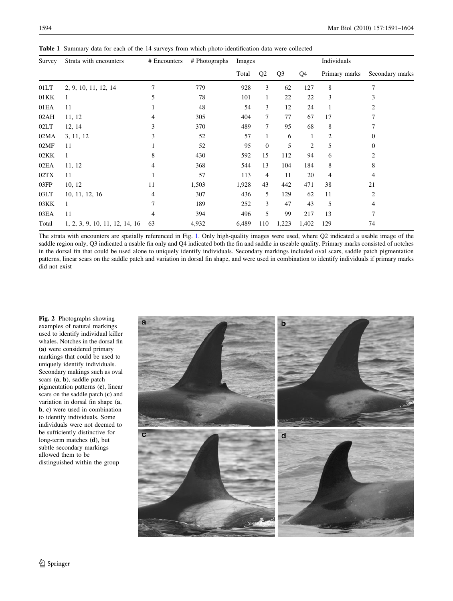| Survey | Strata with encounters         | # Encounters | # Photographs | Images |                  |                |                | Individuals    |                 |  |
|--------|--------------------------------|--------------|---------------|--------|------------------|----------------|----------------|----------------|-----------------|--|
|        |                                |              |               | Total  | Q2               | Q <sub>3</sub> | Q4             | Primary marks  | Secondary marks |  |
| 01LT   | 2, 9, 10, 11, 12, 14           | 7            | 779           | 928    | 3                | 62             | 127            | 8              | $\overline{7}$  |  |
| 01KK   |                                | 5            | 78            | 101    |                  | 22             | 22             | 3              | 3               |  |
| 01EA   | 11                             |              | 48            | 54     | 3                | 12             | 24             | 1              | 2               |  |
| 02AH   | 11, 12                         | 4            | 305           | 404    | 7                | 77             | 67             | 17             | 7               |  |
| 02LT   | 12, 14                         | 3            | 370           | 489    | 7                | 95             | 68             | 8              | 7               |  |
| 02MA   | 3, 11, 12                      | 3            | 52            | 57     |                  | 6              | $\mathbf{1}$   | $\overline{c}$ | $\Omega$        |  |
| 02MF   | 11                             |              | 52            | 95     | $\boldsymbol{0}$ | 5              | $\overline{c}$ | 5              | $\overline{0}$  |  |
| 02KK   | $\mathbf{1}$                   | 8            | 430           | 592    | 15               | 112            | 94             | 6              | 2               |  |
| 02EA   | 11, 12                         | 4            | 368           | 544    | 13               | 104            | 184            | 8              | 8               |  |
| 02TX   | 11                             |              | 57            | 113    | 4                | 11             | 20             | 4              | 4               |  |
| 03FP   | 10, 12                         | 11           | 1,503         | 1,928  | 43               | 442            | 471            | 38             | 21              |  |
| 03LT   | 10, 11, 12, 16                 | 4            | 307           | 436    | 5                | 129            | 62             | 11             | $\overline{c}$  |  |
| 03KK   | 1                              | 7            | 189           | 252    | 3                | 47             | 43             | 5              | 4               |  |
| 03EA   | 11                             | 4            | 394           | 496    | 5                | 99             | 217            | 13             | 7               |  |
| Total  | 1, 2, 3, 9, 10, 11, 12, 14, 16 | 63           | 4,932         | 6,489  | 110              | 1,223          | 1,402          | 129            | 74              |  |

<span id="page-5-0"></span>Table 1 Summary data for each of the 14 surveys from which photo-identification data were collected

The strata with encounters are spatially referenced in Fig. [1.](#page-4-0) Only high-quality images were used, where Q2 indicated a usable image of the saddle region only, Q3 indicated a usable fin only and Q4 indicated both the fin and saddle in useable quality. Primary marks consisted of notches in the dorsal fin that could be used alone to uniquely identify individuals. Secondary markings included oval scars, saddle patch pigmentation patterns, linear scars on the saddle patch and variation in dorsal fin shape, and were used in combination to identify individuals if primary marks did not exist

Fig. 2 Photographs showing examples of natural markings used to identify individual killer whales. Notches in the dorsal fin (a) were considered primary markings that could be used to uniquely identify individuals. Secondary makings such as oval scars (a, b), saddle patch pigmentation patterns (c), linear scars on the saddle patch (c) and variation in dorsal fin shape (a, b, c) were used in combination to identify individuals. Some individuals were not deemed to be sufficiently distinctive for long-term matches (d), but subtle secondary markings allowed them to be distinguished within the group

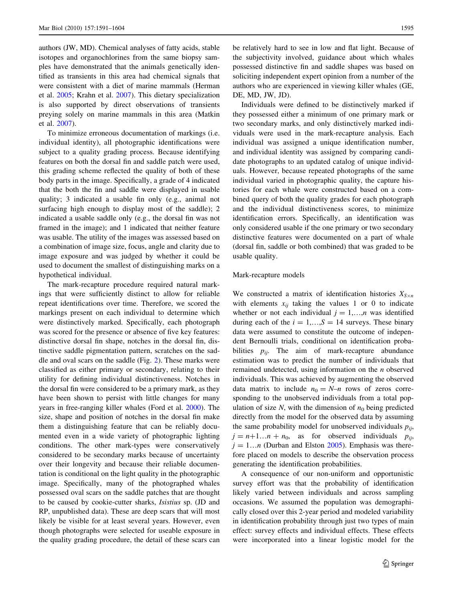authors (JW, MD). Chemical analyses of fatty acids, stable isotopes and organochlorines from the same biopsy samples have demonstrated that the animals genetically identified as transients in this area had chemical signals that were consistent with a diet of marine mammals (Herman et al. [2005;](#page-14-0) Krahn et al. [2007\)](#page-14-0). This dietary specialization is also supported by direct observations of transients preying solely on marine mammals in this area (Matkin et al. [2007\)](#page-14-0).

To minimize erroneous documentation of markings (i.e. individual identity), all photographic identifications were subject to a quality grading process. Because identifying features on both the dorsal fin and saddle patch were used, this grading scheme reflected the quality of both of these body parts in the image. Specifically, a grade of 4 indicated that the both the fin and saddle were displayed in usable quality; 3 indicated a usable fin only (e.g., animal not surfacing high enough to display most of the saddle); 2 indicated a usable saddle only (e.g., the dorsal fin was not framed in the image); and 1 indicated that neither feature was usable. The utility of the images was assessed based on a combination of image size, focus, angle and clarity due to image exposure and was judged by whether it could be used to document the smallest of distinguishing marks on a hypothetical individual.

The mark-recapture procedure required natural markings that were sufficiently distinct to allow for reliable repeat identifications over time. Therefore, we scored the markings present on each individual to determine which were distinctively marked. Specifically, each photograph was scored for the presence or absence of five key features: distinctive dorsal fin shape, notches in the dorsal fin, distinctive saddle pigmentation pattern, scratches on the saddle and oval scars on the saddle (Fig. [2\)](#page-5-0). These marks were classified as either primary or secondary, relating to their utility for defining individual distinctiveness. Notches in the dorsal fin were considered to be a primary mark, as they have been shown to persist with little changes for many years in free-ranging killer whales (Ford et al. [2000](#page-14-0)). The size, shape and position of notches in the dorsal fin make them a distinguishing feature that can be reliably documented even in a wide variety of photographic lighting conditions. The other mark-types were conservatively considered to be secondary marks because of uncertainty over their longevity and because their reliable documentation is conditional on the light quality in the photographic image. Specifically, many of the photographed whales possessed oval scars on the saddle patches that are thought to be caused by cookie-cutter sharks, Isistius sp. (JD and RP, unpublished data). These are deep scars that will most likely be visible for at least several years. However, even though photographs were selected for useable exposure in the quality grading procedure, the detail of these scars can be relatively hard to see in low and flat light. Because of the subjectivity involved, guidance about which whales possessed distinctive fin and saddle shapes was based on soliciting independent expert opinion from a number of the authors who are experienced in viewing killer whales (GE, DE, MD, JW, JD).

Individuals were defined to be distinctively marked if they possessed either a minimum of one primary mark or two secondary marks, and only distinctively marked individuals were used in the mark-recapture analysis. Each individual was assigned a unique identification number, and individual identity was assigned by comparing candidate photographs to an updated catalog of unique individuals. However, because repeated photographs of the same individual varied in photographic quality, the capture histories for each whale were constructed based on a combined query of both the quality grades for each photograph and the individual distinctiveness scores, to minimize identification errors. Specifically, an identification was only considered usable if the one primary or two secondary distinctive features were documented on a part of whale (dorsal fin, saddle or both combined) that was graded to be usable quality.

#### Mark-recapture models

We constructed a matrix of identification histories  $X_{S\times n}$ with elements  $x_{ii}$  taking the values 1 or 0 to indicate whether or not each individual  $j = 1,...,n$  was identified during each of the  $i = 1,...,S = 14$  surveys. These binary data were assumed to constitute the outcome of independent Bernoulli trials, conditional on identification probabilities  $p_{ij}$ . The aim of mark-recapture abundance estimation was to predict the number of individuals that remained undetected, using information on the n observed individuals. This was achieved by augmenting the observed data matrix to include  $n_0 = N-n$  rows of zeros corresponding to the unobserved individuals from a total population of size N, with the dimension of  $n_0$  being predicted directly from the model for the observed data by assuming the same probability model for unobserved individuals  $p_{ii}$ ,  $j = n+1...n + n_0$ , as for observed individuals  $p_{ii}$ ,  $j = 1...n$  (Durban and Elston [2005](#page-14-0)). Emphasis was therefore placed on models to describe the observation process generating the identification probabilities.

A consequence of our non-uniform and opportunistic survey effort was that the probability of identification likely varied between individuals and across sampling occasions. We assumed the population was demographically closed over this 2-year period and modeled variability in identification probability through just two types of main effect: survey effects and individual effects. These effects were incorporated into a linear logistic model for the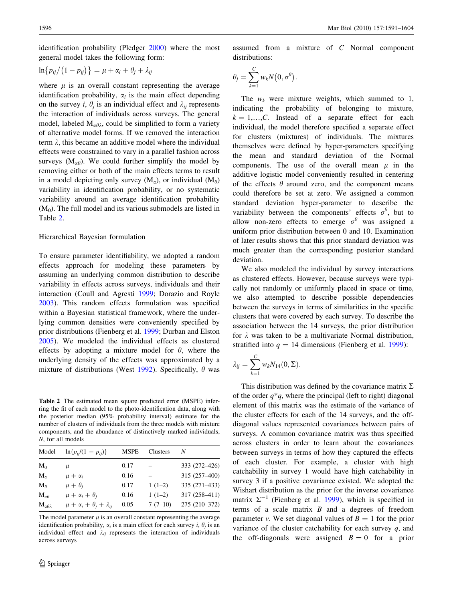<span id="page-7-0"></span>identification probability (Pledger [2000\)](#page-15-0) where the most general model takes the following form:

$$
\ln\{p_{ij}/(1-p_{ij})\} = \mu + \alpha_i + \theta_j + \lambda_{ij}
$$

where  $\mu$  is an overall constant representing the average identification probability,  $\alpha_i$  is the main effect depending on the survey i,  $\theta_i$  is an individual effect and  $\lambda_{ii}$  represents the interaction of individuals across surveys. The general model, labeled  $M_{\alpha\beta\lambda}$ , could be simplified to form a variety of alternative model forms. If we removed the interaction term  $\lambda$ , this became an additive model where the individual effects were constrained to vary in a parallel fashion across surveys ( $M_{\alpha\theta}$ ). We could further simplify the model by removing either or both of the main effects terms to result in a model depicting only survey  $(M_{\alpha})$ , or individual  $(M_{\theta})$ variability in identification probability, or no systematic variability around an average identification probability  $(M<sub>0</sub>)$ . The full model and its various submodels are listed in Table 2.

## Hierarchical Bayesian formulation

To ensure parameter identifiability, we adopted a random effects approach for modeling these parameters by assuming an underlying common distribution to describe variability in effects across surveys, individuals and their interaction (Coull and Agresti [1999;](#page-14-0) Dorazio and Royle [2003\)](#page-14-0). This random effects formulation was specified within a Bayesian statistical framework, where the underlying common densities were conveniently specified by prior distributions (Fienberg et al. [1999;](#page-14-0) Durban and Elston [2005\)](#page-14-0). We modeled the individual effects as clustered effects by adopting a mixture model for  $\theta$ , where the underlying density of the effects was approximated by a mixture of distributions (West [1992\)](#page-15-0). Specifically,  $\theta$  was

Table 2 The estimated mean square predicted error (MSPE) inferring the fit of each model to the photo-identification data, along with the posterior median (95% probability interval) estimate for the number of clusters of individuals from the three models with mixture components, and the abundance of distinctively marked individuals, N, for all models

| Model                     | $\ln\{p_{ij}/(1-p_{ij})\}$                 | <b>MSPE</b> | <b>Clusters</b> | N             |  |  |  |
|---------------------------|--------------------------------------------|-------------|-----------------|---------------|--|--|--|
| $M_0$                     | μ                                          | 0.17        |                 | 333 (272-426) |  |  |  |
| $M_{\gamma}$              | $\mu + \alpha_i$                           | 0.16        |                 | 315 (257-400) |  |  |  |
| $M_{\theta}$              | $\mu + \theta_i$                           | 0.17        | $1(1-2)$        | 335 (271-433) |  |  |  |
| $M_{\alpha\theta}$        | $\mu + \alpha_i + \theta_i$                | 0.16        | $1(1-2)$        | 317 (258-411) |  |  |  |
| $M_{\gamma\theta\lambda}$ | $\mu + \alpha_i + \theta_i + \lambda_{ii}$ | 0.05        | $7(7-10)$       | 275 (210-372) |  |  |  |

The model parameter  $\mu$  is an overall constant representing the average identification probability,  $\alpha_i$  is a main effect for each survey i,  $\theta_i$  is an individual effect and  $\lambda_{ii}$  represents the interaction of individuals across surveys

assumed from a mixture of C Normal component distributions:

$$
\theta_j = \sum_{k=1}^C w_k N(0, \sigma^{\theta}).
$$

The  $w_k$  were mixture weights, which summed to 1, indicating the probability of belonging to mixture,  $k = 1, \ldots, C$ . Instead of a separate effect for each individual, the model therefore specified a separate effect for clusters (mixtures) of individuals. The mixtures themselves were defined by hyper-parameters specifying the mean and standard deviation of the Normal components. The use of the overall mean  $\mu$  in the additive logistic model conveniently resulted in centering of the effects  $\theta$  around zero, and the component means could therefore be set at zero. We assigned a common standard deviation hyper-parameter to describe the variability between the components' effects  $\sigma^{\theta}$ , but to allow non-zero effects to emerge  $\sigma^\theta$  was assigned a uniform prior distribution between 0 and 10. Examination of later results shows that this prior standard deviation was much greater than the corresponding posterior standard deviation.

We also modeled the individual by survey interactions as clustered effects. However, because surveys were typically not randomly or uniformly placed in space or time, we also attempted to describe possible dependencies between the surveys in terms of similarities in the specific clusters that were covered by each survey. To describe the association between the 14 surveys, the prior distribution for  $\lambda$  was taken to be a multivariate Normal distribution, stratified into  $q = 14$  dimensions (Fienberg et al. [1999\)](#page-14-0):

$$
\lambda_{ij} = \sum_{k=1}^C w_k N_{14}(0, \Sigma).
$$

This distribution was defined by the covariance matrix  $\Sigma$ of the order  $q * q$ , where the principal (left to right) diagonal element of this matrix was the estimate of the variance of the cluster effects for each of the 14 surveys, and the offdiagonal values represented covariances between pairs of surveys. A common covariance matrix was thus specified across clusters in order to learn about the covariances between surveys in terms of how they captured the effects of each cluster. For example, a cluster with high catchability in survey 1 would have high catchability in survey 3 if a positive covariance existed. We adopted the Wishart distribution as the prior for the inverse covariance matrix  $\Sigma^{-1}$  (Fienberg et al. [1999](#page-14-0)), which is specified in terms of a scale matrix  $B$  and a degrees of freedom parameter v. We set diagonal values of  $B = 1$  for the prior variance of the cluster catchability for each survey  $q$ , and the off-diagonals were assigned  $B = 0$  for a prior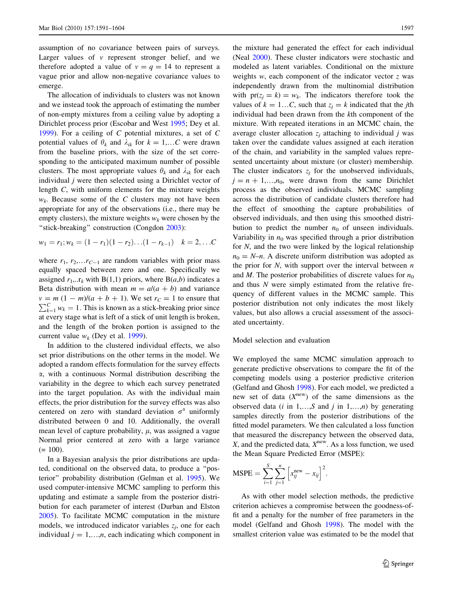assumption of no covariance between pairs of surveys. Larger values of  $\nu$  represent stronger belief, and we therefore adopted a value of  $v = q = 14$  to represent a vague prior and allow non-negative covariance values to emerge.

The allocation of individuals to clusters was not known and we instead took the approach of estimating the number of non-empty mixtures from a ceiling value by adopting a Dirichlet process prior (Escobar and West [1995;](#page-14-0) Dey et al. [1999\)](#page-14-0). For a ceiling of  $C$  potential mixtures, a set of  $C$ potential values of  $\theta_k$  and  $\lambda_{ik}$  for  $k = 1,...C$  were drawn from the baseline priors, with the size of the set corresponding to the anticipated maximum number of possible clusters. The most appropriate values  $\theta_k$  and  $\lambda_{ik}$  for each individual  $j$  were then selected using a Dirichlet vector of length C, with uniform elements for the mixture weights  $w_k$ . Because some of the C clusters may not have been appropriate for any of the observations (i.e., there may be empty clusters), the mixture weights  $w_k$  were chosen by the "stick-breaking" construction (Congdon [2003\)](#page-14-0):

$$
w_1 = r_1; w_k = (1 - r_1)(1 - r_2)...(1 - r_{k-1}) \quad k = 2,...C
$$

where  $r_1$ ,  $r_2$ ,... $r_{C-1}$  are random variables with prior mass equally spaced between zero and one. Specifically we assigned  $r_1, r_k$  with B(1,1) priors, where B(a,b) indicates a Beta distribution with mean  $m = a/(a + b)$  and variance  $\sum_{k=1}^{C} w_k = 1$ . This is known as a stick-breaking prior since  $v = m (1 - m)/(a + b + 1)$ . We set  $r<sub>C</sub> = 1$  to ensure that at every stage what is left of a stick of unit length is broken, and the length of the broken portion is assigned to the current value  $w_k$  (Dey et al. [1999](#page-14-0)).

In addition to the clustered individual effects, we also set prior distributions on the other terms in the model. We adopted a random effects formulation for the survey effects  $\alpha$ , with a continuous Normal distribution describing the variability in the degree to which each survey penetrated into the target population. As with the individual main effects, the prior distribution for the survey effects was also centered on zero with standard deviation  $\sigma^{\alpha}$  uniformly distributed between 0 and 10. Additionally, the overall mean level of capture probability,  $\mu$ , was assigned a vague Normal prior centered at zero with a large variance  $(= 100).$ 

In a Bayesian analysis the prior distributions are updated, conditional on the observed data, to produce a ''posterior'' probability distribution (Gelman et al. [1995](#page-14-0)). We used computer-intensive MCMC sampling to perform this updating and estimate a sample from the posterior distribution for each parameter of interest (Durban and Elston [2005\)](#page-14-0). To facilitate MCMC computation in the mixture models, we introduced indicator variables  $z_j$ , one for each individual  $j = 1,...,n$ , each indicating which component in

the mixture had generated the effect for each individual (Neal [2000](#page-15-0)). These cluster indicators were stochastic and modeled as latent variables. Conditional on the mixture weights w, each component of the indicator vector  $\zeta$  was independently drawn from the multinomial distribution with  $pr(z_i = k) = w_k$ . The indicators therefore took the values of  $k = 1...C$ , such that  $z_i = k$  indicated that the *j*th individual had been drawn from the kth component of the mixture. With repeated iterations in an MCMC chain, the average cluster allocation  $z_i$  attaching to individual j was taken over the candidate values assigned at each iteration of the chain, and variability in the sampled values represented uncertainty about mixture (or cluster) membership. The cluster indicators  $z_i$  for the unobserved individuals,  $j = n + 1,...,n_0$ , were drawn from the same Dirichlet process as the observed individuals. MCMC sampling across the distribution of candidate clusters therefore had the effect of smoothing the capture probabilities of observed individuals, and then using this smoothed distribution to predict the number  $n_0$  of unseen individuals. Variability in  $n_0$  was specified through a prior distribution for N, and the two were linked by the logical relationship  $n_0 = N-n$ . A discrete uniform distribution was adopted as the prior for  $N$ , with support over the interval between  $n$ and M. The posterior probabilities of discrete values for  $n_0$ and thus N were simply estimated from the relative frequency of different values in the MCMC sample. This posterior distribution not only indicates the most likely values, but also allows a crucial assessment of the associated uncertainty.

#### Model selection and evaluation

We employed the same MCMC simulation approach to generate predictive observations to compare the fit of the competing models using a posterior predictive criterion (Gelfand and Ghosh [1998\)](#page-14-0). For each model, we predicted a new set of data  $(X^{new})$  of the same dimensions as the observed data (*i* in 1,..., S and *j* in 1,..., *n*) by generating samples directly from the posterior distributions of the fitted model parameters. We then calculated a loss function that measured the discrepancy between the observed data, X, and the predicted data,  $X^{new}$ . As a loss function, we used the Mean Square Predicted Error (MSPE):

$$
MSPE = \sum_{i=1}^{S} \sum_{j=1}^{n} \left[ x_{ij}^{\text{new}} - x_{ij} \right]^2.
$$

As with other model selection methods, the predictive criterion achieves a compromise between the goodness-offit and a penalty for the number of free parameters in the model (Gelfand and Ghosh [1998](#page-14-0)). The model with the smallest criterion value was estimated to be the model that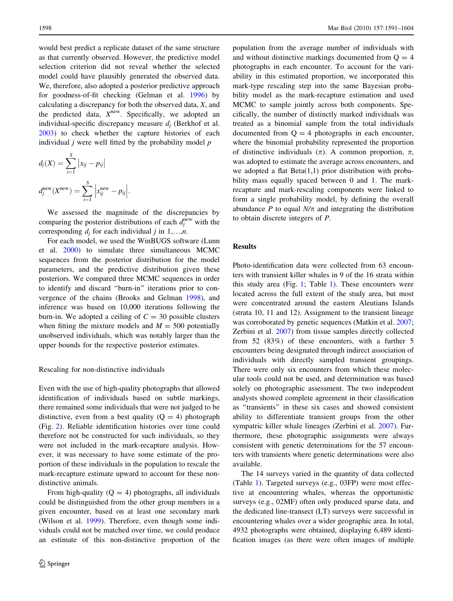would best predict a replicate dataset of the same structure as that currently observed. However, the predictive model selection criterion did not reveal whether the selected model could have plausibly generated the observed data. We, therefore, also adopted a posterior predictive approach for goodness-of-fit checking (Gelman et al. [1996](#page-14-0)) by calculating a discrepancy for both the observed data, X, and the predicted data,  $X<sup>new</sup>$ . Specifically, we adopted an individual-specific discrepancy measure  $d_i$  (Berkhof et al. [2003\)](#page-13-0) to check whether the capture histories of each individual *i* were well fitted by the probability model  $p$ 

$$
d_j(X) = \sum_{i=1}^{S} |x_{ij} - p_{ij}|
$$
  

$$
d_j^{\text{new}}(X^{\text{new}}) = \sum_{i=1}^{S} |x_{ij}^{\text{new}} - p_{ij}|.
$$

We assessed the magnitude of the discrepancies by comparing the posterior distributions of each  $d_j^{\text{new}}$  with the corresponding  $d_i$  for each individual j in 1,…,*n*.

For each model, we used the WinBUGS software (Lunn et al. [2000\)](#page-14-0) to simulate three simultaneous MCMC sequences from the posterior distribution for the model parameters, and the predictive distribution given these posteriors. We compared three MCMC sequences in order to identify and discard ''burn-in'' iterations prior to convergence of the chains (Brooks and Gelman [1998](#page-14-0)), and inference was based on 10,000 iterations following the burn-in. We adopted a ceiling of  $C = 30$  possible clusters when fitting the mixture models and  $M = 500$  potentially unobserved individuals, which was notably larger than the upper bounds for the respective posterior estimates.

#### Rescaling for non-distinctive individuals

Even with the use of high-quality photographs that allowed identification of individuals based on subtle markings, there remained some individuals that were not judged to be distinctive, even from a best quality  $(Q = 4)$  photograph (Fig. [2](#page-5-0)). Reliable identification histories over time could therefore not be constructed for such individuals, so they were not included in the mark-recapture analysis. However, it was necessary to have some estimate of the proportion of these individuals in the population to rescale the mark-recapture estimate upward to account for these nondistinctive animals.

From high-quality  $(Q = 4)$  photographs, all individuals could be distinguished from the other group members in a given encounter, based on at least one secondary mark (Wilson et al. [1999](#page-15-0)). Therefore, even though some individuals could not be matched over time, we could produce an estimate of this non-distinctive proportion of the population from the average number of individuals with and without distinctive markings documented from  $Q = 4$ photographs in each encounter. To account for the variability in this estimated proportion, we incorporated this mark-type rescaling step into the same Bayesian probability model as the mark-recapture estimation and used MCMC to sample jointly across both components. Specifically, the number of distinctly marked individuals was treated as a binomial sample from the total individuals documented from  $Q = 4$  photographs in each encounter, where the binomial probability represented the proportion of distinctive individuals  $(\pi)$ . A common proportion,  $\pi$ , was adopted to estimate the average across encounters, and we adopted a flat  $Beta(1,1)$  prior distribution with probability mass equally spaced between 0 and 1. The markrecapture and mark-rescaling components were linked to form a single probability model, by defining the overall abundance P to equal  $N/\pi$  and integrating the distribution to obtain discrete integers of P.

#### **Results**

Photo-identification data were collected from 63 encounters with transient killer whales in 9 of the 16 strata within this study area (Fig. [1;](#page-4-0) Table [1](#page-5-0)). These encounters were located across the full extent of the study area, but most were concentrated around the eastern Aleutians Islands (strata 10, 11 and 12). Assignment to the transient lineage was corroborated by genetic sequences (Matkin et al. [2007](#page-14-0); Zerbini et al. [2007\)](#page-15-0) from tissue samples directly collected from 52 (83%) of these encounters, with a further 5 encounters being designated through indirect association of individuals with directly sampled transient groupings. There were only six encounters from which these molecular tools could not be used, and determination was based solely on photographic assessment. The two independent analysts showed complete agreement in their classification as ''transients'' in these six cases and showed consistent ability to differentiate transient groups from the other sympatric killer whale lineages (Zerbini et al. [2007\)](#page-15-0). Furthermore, these photographic assignments were always consistent with genetic determinations for the 57 encounters with transients where genetic determinations were also available.

The 14 surveys varied in the quantity of data collected (Table [1\)](#page-5-0). Targeted surveys (e.g., 03FP) were most effective at encountering whales, whereas the opportunistic surveys (e.g., 02MF) often only produced sparse data, and the dedicated line-transect (LT) surveys were successful in encountering whales over a wider geographic area. In total, 4932 photographs were obtained, displaying 6,489 identification images (as there were often images of multiple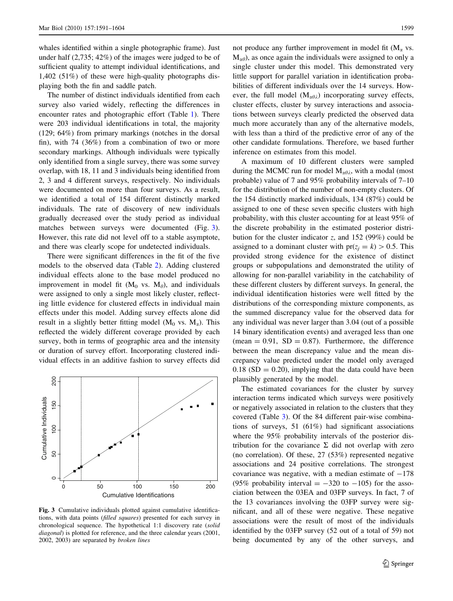whales identified within a single photographic frame). Just under half (2,735; 42%) of the images were judged to be of sufficient quality to attempt individual identifications, and 1,402 (51%) of these were high-quality photographs displaying both the fin and saddle patch.

The number of distinct individuals identified from each survey also varied widely, reflecting the differences in encounter rates and photographic effort (Table [1\)](#page-5-0). There were 203 individual identifications in total, the majority (129; 64%) from primary markings (notches in the dorsal fin), with 74 (36%) from a combination of two or more secondary markings. Although individuals were typically only identified from a single survey, there was some survey overlap, with 18, 11 and 3 individuals being identified from 2, 3 and 4 different surveys, respectively. No individuals were documented on more than four surveys. As a result, we identified a total of 154 different distinctly marked individuals. The rate of discovery of new individuals gradually decreased over the study period as individual matches between surveys were documented (Fig. 3). However, this rate did not level off to a stable asymptote, and there was clearly scope for undetected individuals.

There were significant differences in the fit of the five models to the observed data (Table [2\)](#page-7-0). Adding clustered individual effects alone to the base model produced no improvement in model fit ( $M_0$  vs.  $M_\theta$ ), and individuals were assigned to only a single most likely cluster, reflecting little evidence for clustered effects in individual main effects under this model. Adding survey effects alone did result in a slightly better fitting model ( $M_0$  vs.  $M_\alpha$ ). This reflected the widely different coverage provided by each survey, both in terms of geographic area and the intensity or duration of survey effort. Incorporating clustered individual effects in an additive fashion to survey effects did



Fig. 3 Cumulative individuals plotted against cumulative identifications, with data points (filled squares) presented for each survey in chronological sequence. The hypothetical 1:1 discovery rate (solid diagonal) is plotted for reference, and the three calendar years (2001, 2002, 2003) are separated by broken lines

not produce any further improvement in model fit  $(M_{\alpha}$  vs.  $M_{\alpha\theta}$ ), as once again the individuals were assigned to only a single cluster under this model. This demonstrated very little support for parallel variation in identification probabilities of different individuals over the 14 surveys. However, the full model  $(M_{\alpha\theta\lambda})$  incorporating survey effects, cluster effects, cluster by survey interactions and associations between surveys clearly predicted the observed data much more accurately than any of the alternative models, with less than a third of the predictive error of any of the other candidate formulations. Therefore, we based further inference on estimates from this model.

A maximum of 10 different clusters were sampled during the MCMC run for model  $M_{\alpha\beta\lambda}$ , with a modal (most probable) value of 7 and 95% probability intervals of 7–10 for the distribution of the number of non-empty clusters. Of the 154 distinctly marked individuals, 134 (87%) could be assigned to one of these seven specific clusters with high probability, with this cluster accounting for at least 95% of the discrete probability in the estimated posterior distribution for the cluster indicator z, and  $152 (99%)$  could be assigned to a dominant cluster with  $pr(z_i = k) > 0.5$ . This provided strong evidence for the existence of distinct groups or subpopulations and demonstrated the utility of allowing for non-parallel variability in the catchability of these different clusters by different surveys. In general, the individual identification histories were well fitted by the distributions of the corresponding mixture components, as the summed discrepancy value for the observed data for any individual was never larger than 3.04 (out of a possible 14 binary identification events) and averaged less than one (mean  $= 0.91$ , SD  $= 0.87$ ). Furthermore, the difference between the mean discrepancy value and the mean discrepancy value predicted under the model only averaged  $0.18$  (SD = 0.20), implying that the data could have been plausibly generated by the model.

The estimated covariances for the cluster by survey interaction terms indicated which surveys were positively or negatively associated in relation to the clusters that they covered (Table [3\)](#page-11-0). Of the 84 different pair-wise combinations of surveys, 51 (61%) had significant associations where the 95% probability intervals of the posterior distribution for the covariance  $\Sigma$  did not overlap with zero (no correlation). Of these, 27 (53%) represented negative associations and 24 positive correlations. The strongest covariance was negative, with a median estimate of  $-178$ (95% probability interval  $=$  -320 to -105) for the association between the 03EA and 03FP surveys. In fact, 7 of the 13 covariances involving the 03FP survey were significant, and all of these were negative. These negative associations were the result of most of the individuals identified by the 03FP survey (52 out of a total of 59) not being documented by any of the other surveys, and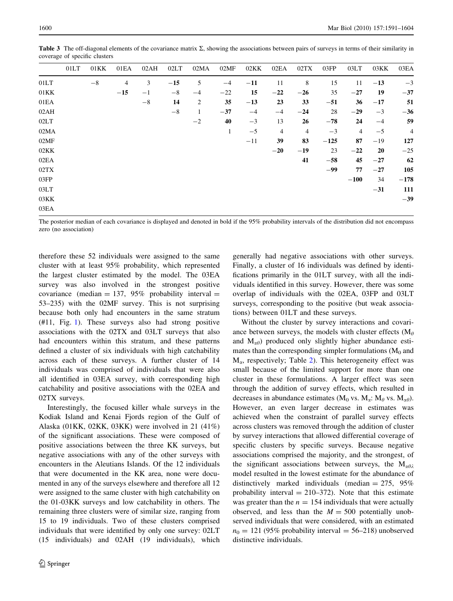|      | 01LT | 01KK | 01EA  | 02AH | 02LT  | 02MA | 02MF  | 02KK  | 02EA  | 02TX  | 03FP   | 03LT           | 03KK  | 03EA           |
|------|------|------|-------|------|-------|------|-------|-------|-------|-------|--------|----------------|-------|----------------|
| 01LT |      | $-8$ | 4     | 3    | $-15$ | 5    | $-4$  | $-11$ | 11    | 8     | 15     | 11             | $-13$ | $-3$           |
| 01KK |      |      | $-15$ | $-1$ | $-8$  | $-4$ | $-22$ | 15    | $-22$ | $-26$ | 35     | $-27$          | 19    | $-37$          |
| 01EA |      |      |       | $-8$ | 14    | 2    | 35    | $-13$ | 23    | 33    | $-51$  | 36             | $-17$ | 51             |
| 02AH |      |      |       |      | $-8$  | 1    | $-37$ | $-4$  | $-4$  | $-24$ | 28     | $-29$          | $-3$  | $-36$          |
| 02LT |      |      |       |      |       | $-2$ | 40    | $-3$  | 13    | 26    | $-78$  | 24             | $-4$  | 59             |
| 02MA |      |      |       |      |       |      | 1     | $-5$  | 4     | 4     | $-3$   | $\overline{4}$ | $-5$  | $\overline{4}$ |
| 02MF |      |      |       |      |       |      |       | $-11$ | 39    | 83    | $-125$ | 87             | $-19$ | 127            |
| 02KK |      |      |       |      |       |      |       |       | $-20$ | $-19$ | 23     | $-22$          | 20    | $-25$          |
| 02EA |      |      |       |      |       |      |       |       |       | 41    | $-58$  | 45             | $-27$ | 62             |
| 02TX |      |      |       |      |       |      |       |       |       |       | $-99$  | 77             | $-27$ | 105            |
| 03FP |      |      |       |      |       |      |       |       |       |       |        | $-100$         | 34    | $-178$         |
| 03LT |      |      |       |      |       |      |       |       |       |       |        |                | $-31$ | 111            |
| 03KK |      |      |       |      |       |      |       |       |       |       |        |                |       | $-39$          |
| 03EA |      |      |       |      |       |      |       |       |       |       |        |                |       |                |

<span id="page-11-0"></span>**Table 3** The off-diagonal elements of the covariance matrix  $\Sigma$ , showing the associations between pairs of surveys in terms of their similarity in coverage of specific clusters

The posterior median of each covariance is displayed and denoted in bold if the 95% probability intervals of the distribution did not encompass zero (no association)

therefore these 52 individuals were assigned to the same cluster with at least 95% probability, which represented the largest cluster estimated by the model. The 03EA survey was also involved in the strongest positive covariance (median  $= 137, 95\%$  probability interval  $=$ 53–235) with the 02MF survey. This is not surprising because both only had encounters in the same stratum (#11, Fig. [1](#page-4-0)). These surveys also had strong positive associations with the 02TX and 03LT surveys that also had encounters within this stratum, and these patterns defined a cluster of six individuals with high catchability across each of these surveys. A further cluster of 14 individuals was comprised of individuals that were also all identified in 03EA survey, with corresponding high catchability and positive associations with the 02EA and 02TX surveys.

Interestingly, the focused killer whale surveys in the Kodiak Island and Kenai Fjords region of the Gulf of Alaska (01KK, 02KK, 03KK) were involved in 21 (41%) of the significant associations. These were composed of positive associations between the three KK surveys, but negative associations with any of the other surveys with encounters in the Aleutians Islands. Of the 12 individuals that were documented in the KK area, none were documented in any of the surveys elsewhere and therefore all 12 were assigned to the same cluster with high catchability on the 01-03KK surveys and low catchability in others. The remaining three clusters were of similar size, ranging from 15 to 19 individuals. Two of these clusters comprised individuals that were identified by only one survey: 02LT (15 individuals) and 02AH (19 individuals), which generally had negative associations with other surveys. Finally, a cluster of 16 individuals was defined by identifications primarily in the 01LT survey, with all the individuals identified in this survey. However, there was some overlap of individuals with the 02EA, 03FP and 03LT surveys, corresponding to the positive (but weak associations) between 01LT and these surveys.

Without the cluster by survey interactions and covariance between surveys, the models with cluster effects ( $M_\theta$ ) and  $M_{\alpha\theta}$ ) produced only slightly higher abundance estimates than the corresponding simpler formulations  $(M_0$  and  $M_{\alpha}$ , respectively; Table [2\)](#page-7-0). This heterogeneity effect was small because of the limited support for more than one cluster in these formulations. A larger effect was seen through the addition of survey effects, which resulted in decreases in abundance estimates ( $M_0$  vs.  $M_\alpha$ :  $M_\theta$  vs.  $M_{\alpha\theta}$ ). However, an even larger decrease in estimates was achieved when the constraint of parallel survey effects across clusters was removed through the addition of cluster by survey interactions that allowed differential coverage of specific clusters by specific surveys. Because negative associations comprised the majority, and the strongest, of the significant associations between surveys, the  $M_{\alpha\theta\lambda}$ model resulted in the lowest estimate for the abundance of distinctively marked individuals (median  $= 275, 95\%$ probability interval  $= 210-372$ ). Note that this estimate was greater than the  $n = 154$  individuals that were actually observed, and less than the  $M = 500$  potentially unobserved individuals that were considered, with an estimated  $n_0 = 121$  (95% probability interval = 56–218) unobserved distinctive individuals.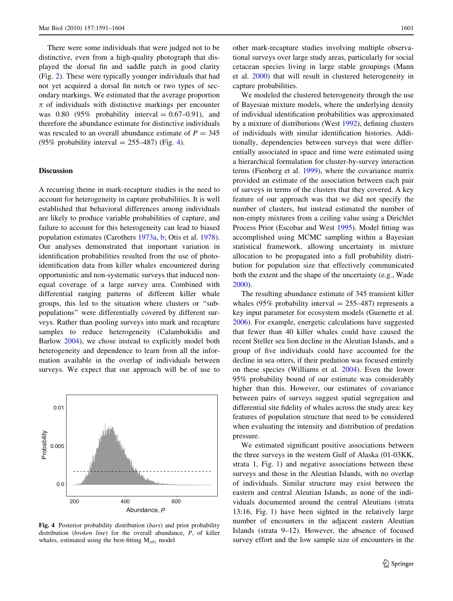There were some individuals that were judged not to be distinctive, even from a high-quality photograph that displayed the dorsal fin and saddle patch in good clarity (Fig. [2](#page-5-0)). These were typically younger individuals that had not yet acquired a dorsal fin notch or two types of secondary markings. We estimated that the average proportion  $\pi$  of individuals with distinctive markings per encounter was 0.80 (95% probability interval  $= 0.67-0.91$ ), and therefore the abundance estimate for distinctive individuals was rescaled to an overall abundance estimate of  $P = 345$ (95% probability interval  $= 255-487$ ) (Fig. 4).

# Discussion

A recurring theme in mark-recapture studies is the need to account for heterogeneity in capture probabilities. It is well established that behavioral differences among individuals are likely to produce variable probabilities of capture, and failure to account for this heterogeneity can lead to biased population estimates (Carothers [1973a,](#page-14-0) [b](#page-14-0); Otis et al. [1978](#page-15-0)). Our analyses demonstrated that important variation in identification probabilities resulted from the use of photoidentification data from killer whales encountered during opportunistic and non-systematic surveys that induced nonequal coverage of a large survey area. Combined with differential ranging patterns of different killer whale groups, this led to the situation where clusters or ''subpopulations'' were differentially covered by different surveys. Rather than pooling surveys into mark and recapture samples to reduce heterogeneity (Calambokidis and Barlow [2004](#page-14-0)), we chose instead to explicitly model both heterogeneity and dependence to learn from all the information available in the overlap of individuals between surveys. We expect that our approach will be of use to



Fig. 4 Posterior probability distribution (bars) and prior probability distribution (broken line) for the overall abundance, P, of killer whales, estimated using the best-fitting  $M_{\alpha\theta\lambda}$  model

other mark-recapture studies involving multiple observational surveys over large study areas, particularly for social cetacean species living in large stable groupings (Mann et al. [2000\)](#page-14-0) that will result in clustered heterogeneity in capture probabilities.

We modeled the clustered heterogeneity through the use of Bayesian mixture models, where the underlying density of individual identification probabilities was approximated by a mixture of distributions (West [1992\)](#page-15-0), defining clusters of individuals with similar identification histories. Additionally, dependencies between surveys that were differentially associated in space and time were estimated using a hierarchical formulation for cluster-by-survey interaction terms (Fienberg et al. [1999](#page-14-0)), where the covariance matrix provided an estimate of the association between each pair of surveys in terms of the clusters that they covered. A key feature of our approach was that we did not specify the number of clusters, but instead estimated the number of non-empty mixtures from a ceiling value using a Dirichlet Process Prior (Escobar and West [1995](#page-14-0)). Model fitting was accomplished using MCMC sampling within a Bayesian statistical framework, allowing uncertainty in mixture allocation to be propagated into a full probability distribution for population size that effectively communicated both the extent and the shape of the uncertainty (e.g., Wade [2000](#page-15-0)).

The resulting abundance estimate of 345 transient killer whales (95% probability interval  $= 255-487$ ) represents a key input parameter for ecosystem models (Guenette et al. [2006](#page-14-0)). For example, energetic calculations have suggested that fewer than 40 killer whales could have caused the recent Steller sea lion decline in the Aleutian Islands, and a group of five individuals could have accounted for the decline in sea otters, if their predation was focused entirely on these species (Williams et al. [2004](#page-15-0)). Even the lower 95% probability bound of our estimate was considerably higher than this. However, our estimates of covariance between pairs of surveys suggest spatial segregation and differential site fidelity of whales across the study area: key features of population structure that need to be considered when evaluating the intensity and distribution of predation pressure.

We estimated significant positive associations between the three surveys in the western Gulf of Alaska (01-03KK, strata 1, Fig. [1](#page-4-0)) and negative associations between these surveys and those in the Aleutian Islands, with no overlap of individuals. Similar structure may exist between the eastern and central Aleutian Islands, as none of the individuals documented around the central Aleutians (strata 13:16, Fig. [1\)](#page-4-0) have been sighted in the relatively large number of encounters in the adjacent eastern Aleutian Islands (strata 9–12). However, the absence of focused survey effort and the low sample size of encounters in the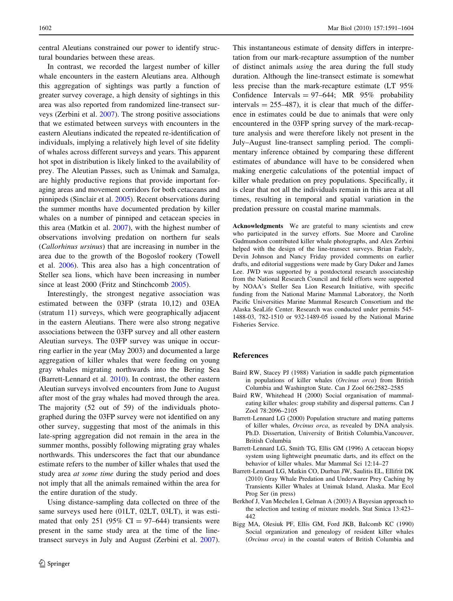<span id="page-13-0"></span>central Aleutians constrained our power to identify structural boundaries between these areas.

In contrast, we recorded the largest number of killer whale encounters in the eastern Aleutians area. Although this aggregation of sightings was partly a function of greater survey coverage, a high density of sightings in this area was also reported from randomized line-transect surveys (Zerbini et al. [2007\)](#page-15-0). The strong positive associations that we estimated between surveys with encounters in the eastern Aleutians indicated the repeated re-identification of individuals, implying a relatively high level of site fidelity of whales across different surveys and years. This apparent hot spot in distribution is likely linked to the availability of prey. The Aleutian Passes, such as Unimak and Samalga, are highly productive regions that provide important foraging areas and movement corridors for both cetaceans and pinnipeds (Sinclair et al. [2005](#page-15-0)). Recent observations during the summer months have documented predation by killer whales on a number of pinniped and cetacean species in this area (Matkin et al. [2007](#page-14-0)), with the highest number of observations involving predation on northern fur seals (Callorhinus ursinus) that are increasing in number in the area due to the growth of the Bogoslof rookery (Towell et al. [2006](#page-15-0)). This area also has a high concentration of Steller sea lions, which have been increasing in number since at least 2000 (Fritz and Stinchcomb [2005](#page-14-0)).

Interestingly, the strongest negative association was estimated between the 03FP (strata 10,12) and 03EA (stratum 11) surveys, which were geographically adjacent in the eastern Aleutians. There were also strong negative associations between the 03FP survey and all other eastern Aleutian surveys. The 03FP survey was unique in occurring earlier in the year (May 2003) and documented a large aggregation of killer whales that were feeding on young gray whales migrating northwards into the Bering Sea (Barrett-Lennard et al. 2010). In contrast, the other eastern Aleutian surveys involved encounters from June to August after most of the gray whales had moved through the area. The majority (52 out of 59) of the individuals photographed during the 03FP survey were not identified on any other survey, suggesting that most of the animals in this late-spring aggregation did not remain in the area in the summer months, possibly following migrating gray whales northwards. This underscores the fact that our abundance estimate refers to the number of killer whales that used the study area *at some time* during the study period and does not imply that all the animals remained within the area for the entire duration of the study.

Using distance-sampling data collected on three of the same surveys used here (01LT, 02LT, 03LT), it was estimated that only 251 (95% CI = 97–644) transients were present in the same study area at the time of the linetransect surveys in July and August (Zerbini et al. [2007](#page-15-0)).

This instantaneous estimate of density differs in interpretation from our mark-recapture assumption of the number of distinct animals using the area during the full study duration. Although the line-transect estimate is somewhat less precise than the mark-recapture estimate (LT 95% Confidence Intervals =  $97-644$ ; MR  $95\%$  probability intervals  $= 255-487$ , it is clear that much of the difference in estimates could be due to animals that were only encountered in the 03FP spring survey of the mark-recapture analysis and were therefore likely not present in the July–August line-transect sampling period. The complimentary inference obtained by comparing these different estimates of abundance will have to be considered when making energetic calculations of the potential impact of killer whale predation on prey populations. Specifically, it is clear that not all the individuals remain in this area at all times, resulting in temporal and spatial variation in the predation pressure on coastal marine mammals.

Acknowledgments We are grateful to many scientists and crew who participated in the survey efforts. Sue Moore and Caroline Gudmundson contributed killer whale photographs, and Alex Zerbini helped with the design of the line-transect surveys. Brian Fadely, Devin Johnson and Nancy Friday provided comments on earlier drafts, and editorial suggestions were made by Gary Duker and James Lee. JWD was supported by a postdoctoral research associateship from the National Research Council and field efforts were supported by NOAA's Steller Sea Lion Research Initiative, with specific funding from the National Marine Mammal Laboratory, the North Pacific Universities Marine Mammal Research Consortium and the Alaska SeaLife Center. Research was conducted under permits 545- 1488-03, 782-1510 or 932-1489-05 issued by the National Marine Fisheries Service.

## References

- Baird RW, Stacey PJ (1988) Variation in saddle patch pigmentation in populations of killer whales (Orcinus orca) from British Columbia and Washington State. Can J Zool 66:2582–2585
- Baird RW, Whitehead H (2000) Social organisation of mammaleating killer whales: group stability and dispersal patterns. Can J Zool 78:2096–2105
- Barrett-Lennard LG (2000) Population structure and mating patterns of killer whales, Orcinus orca, as revealed by DNA analysis. Ph.D. Dissertation, University of British Columbia,Vancouver, British Columbia
- Barrett-Lennard LG, Smith TG, Ellis GM (1996) A cetacean biopsy system using lightweight pneumatic darts, and its effect on the behavior of killer whales. Mar Mammal Sci 12:14–27
- Barrett-Lennard LG, Matkin CO, Durban JW, Saulitis EL, Ellifrit DK (2010) Gray Whale Predation and Underwarer Prey Caching by Transients Killer Whales at Unimak Island, Alaska. Mar Ecol Prog Ser (in press)
- Berkhof J, Van Mechelen I, Gelman A (2003) A Bayesian approach to the selection and testing of mixture models. Stat Sinica 13:423– 442
- Bigg MA, Olesiuk PF, Ellis GM, Ford JKB, Balcomb KC (1990) Social organization and genealogy of resident killer whales (Orcinus orca) in the coastal waters of British Columbia and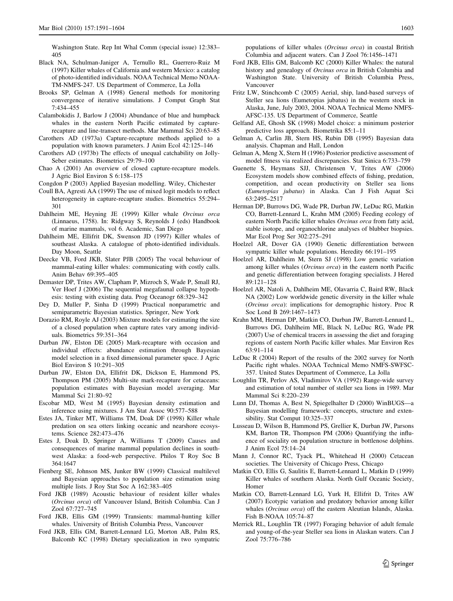<span id="page-14-0"></span>Washington State. Rep Int Whal Comm (special issue) 12:383– 405

- Black NA, Schulman-Janiger A, Ternullo RL, Guerrero-Ruiz M (1997) Killer whales of California and western Mexico: a catalog of photo-identified individuals. NOAA Technical Memo NOAA-TM-NMFS-247. US Department of Commerce, La Jolla
- Brooks SP, Gelman A (1998) General methods for monitoring convergence of iterative simulations. J Comput Graph Stat 7:434–455
- Calambokidis J, Barlow J (2004) Abundance of blue and humpback whales in the eastern North Pacific estimated by capturerecapture and line-transect methods. Mar Mammal Sci 20:63–85
- Carothers AD (1973a) Capture-recapture methods applied to a population with known parameters. J Anim Ecol 42:125–146
- Carothers AD (1973b) The effects of unequal catchability on Jolly-Seber estimates. Biometrics 29:79–100
- Chao A (2001) An overview of closed capture-recapture models. J Agric Biol Environ S 6:158–175
- Congdon P (2003) Applied Bayesian modelling. Wiley, Chichester
- Coull BA, Agresti AA (1999) The use of mixed logit models to reflect heterogeneity in capture-recapture studies. Biometrics 55:294– 301
- Dahlheim ME, Heyning JE (1999) Killer whale Orcinus orca (Linnaeus, 1758). In: Ridgway S, Reynolds J (eds) Handbook of marine mammals, vol 6. Academic, San Diego
- Dahlheim ME, Ellifrit DK, Swenson JD (1997) Killer whales of southeast Alaska. A catalogue of photo-identified individuals. Day Moon, Seattle
- Deecke VB, Ford JKB, Slater PJB (2005) The vocal behaviour of mammal-eating killer whales: communicating with costly calls. Anim Behav 69:395–405
- Demaster DP, Trites AW, Clapham P, Mizroch S, Wade P, Small RJ, Ver Hoef J (2006) The sequential megafaunal collapse hypothesis: testing with existing data. Prog Oceanogr 68:329–342
- Dey D, Muller P, Sinha D (1999) Practical nonparametric and semiparametric Bayesian statistics. Springer, New York
- Dorazio RM, Royle AJ (2003) Mixture models for estimating the size of a closed population when capture rates vary among individuals. Biometrics 59:351–364
- Durban JW, Elston DE (2005) Mark-recapture with occasion and individual effects: abundance estimation through Bayesian model selection in a fixed dimensional parameter space. J Agric Biol Environ S 10:291–305
- Durban JW, Elston DA, Ellifrit DK, Dickson E, Hammond PS, Thompson PM (2005) Multi-site mark-recapture for cetaceans: population estimates with Bayesian model averaging. Mar Mammal Sci 21:80–92
- Escobar MD, West M (1995) Bayesian density estimation and inference using mixtures. J Am Stat Assoc 90:577–588
- Estes JA, Tinker MT, Williams TM, Doak DF (1998) Killer whale predation on sea otters linking oceanic and nearshore ecosystems. Science 282:473–476
- Estes J, Doak D, Springer A, Williams T (2009) Causes and consequences of marine mammal population declines in southwest Alaska: a food-web perspective. Philos T Roy Soc B 364:1647
- Fienberg SE, Johnson MS, Junker BW (1999) Classical multilevel and Bayesian approaches to population size estimation using multiple lists. J Roy Stat Soc A 162:383–405
- Ford JKB (1989) Acoustic behaviour of resident killer whales (Orcinus orca) off Vancouver Island, British Columbia. Can J Zool 67:727–745
- Ford JKB, Ellis GM (1999) Transients: mammal-hunting killer whales. University of British Columbia Press, Vancouver
- Ford JKB, Ellis GM, Barrett-Lennard LG, Morton AB, Palm RS, Balcomb KC (1998) Dietary specialization in two sympatric

populations of killer whales (Orcinus orca) in coastal British Columbia and adjacent waters. Can J Zool 76:1456–1471

- Ford JKB, Ellis GM, Balcomb KC (2000) Killer Whales: the natural history and genealogy of Orcinus orca in British Columbia and Washington State. University of British Columbia Press, Vancouver
- Fritz LW, Stinchcomb C (2005) Aerial, ship, land-based surveys of Steller sea lions (Eumetopias jubatus) in the western stock in Alaska, June, July 2003, 2004. NOAA Technical Memo NMFS-AFSC-135. US Department of Commerce, Seattle
- Gelfand AE, Ghosh SK (1998) Model choice: a minimum posterior predictive loss approach. Biometrika 85:1–11
- Gelman A, Carlin JB, Stern HS, Rubin DB (1995) Bayesian data analysis. Chapman and Hall, London
- Gelman A, Meng X, Stern H (1996) Posterior predictive assessment of model fitness via realized discrepancies. Stat Sinica 6:733–759
- Guenette S, Heymans SJJ, Christensen V, Trites AW (2006) Ecosystem models show combined effects of fishing, predation, competition, and ocean productivity on Steller sea lions (Eumetopias jubatus) in Alaska. Can J Fish Aquat Sci 63:2495–2517
- Herman DP, Burrows DG, Wade PR, Durban JW, LeDuc RG, Matkin CO, Barrett-Lennard L, Krahn MM (2005) Feeding ecology of eastern North Pacific killer whales Orcinus orca from fatty acid, stable isotope, and organochlorine analyses of blubber biopsies. Mar Ecol Prog Ser 302:275–291
- Hoelzel AR, Dover GA (1990) Genetic differentiation between sympatric killer whale populations. Heredity 66:191–195
- Hoelzel AR, Dahlheim M, Stern SJ (1998) Low genetic variation among killer whales (Orcinus orca) in the eastern north Pacific and genetic differentiation between foraging specialists. J Hered 89:121–128
- Hoelzel AR, Natoli A, Dahlheim ME, Olavarria C, Baird RW, Black NA (2002) Low worldwide genetic diversity in the killer whale (Orcinus orca): implications for demographic history. Proc R Soc Lond B 269:1467–1473
- Krahn MM, Herman DP, Matkin CO, Durban JW, Barrett-Lennard L, Burrows DG, Dahlheim ME, Black N, LeDuc RG, Wade PR (2007) Use of chemical tracers in assessing the diet and foraging regions of eastern North Pacific killer whales. Mar Environ Res 63:91–114
- LeDuc R (2004) Report of the results of the 2002 survey for North Pacific right whales. NOAA Technical Memo NMFS-SWFSC-357. United States Department of Commerce, La Jolla
- Loughlin TR, Perlov AS, Vladimirov VA (1992) Range-wide survey and estimation of total number of steller sea lions in 1989. Mar Mammal Sci 8:220–239
- Lunn DJ, Thomas A, Best N, Spiegelhalter D (2000) WinBUGS—a Bayesian modelling framework: concepts, structure and extensibility. Stat Comput 10:325–337
- Lusseau D, Wilson B, Hammond PS, Grellier K, Durban JW, Parsons KM, Barton TR, Thompson PM (2006) Quantifying the influence of sociality on population structure in bottlenose dolphins. J Anim Ecol 75:14–24
- Mann J, Connor RC, Tyack PL, Whitehead H (2000) Cetacean societies. The University of Chicago Press, Chicago
- Matkin CO, Ellis G, Saulitis E, Barrett-Lennard L, Matkin D (1999) Killer whales of southern Alaska. North Gulf Oceanic Society, Homer
- Matkin CO, Barrett-Lennard LG, Yurk H, Ellifrit D, Trites AW (2007) Ecotypic variation and predatory behavior among killer whales (Orcinus orca) off the eastern Aleutian Islands, Alaska. Fish B-NOAA 105:74–87
- Merrick RL, Loughlin TR (1997) Foraging behavior of adult female and young-of-the-year Steller sea lions in Alaskan waters. Can J Zool 75:776–786